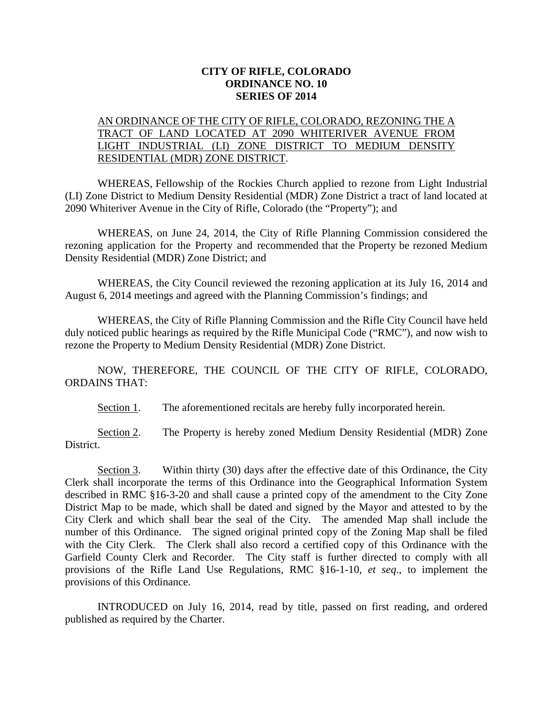## **CITY OF RIFLE, COLORADO ORDINANCE NO. 10 SERIES OF 2014**

## AN ORDINANCE OF THE CITY OF RIFLE, COLORADO, REZONING THE A TRACT OF LAND LOCATED AT 2090 WHITERIVER AVENUE FROM LIGHT INDUSTRIAL (LI) ZONE DISTRICT TO MEDIUM DENSITY RESIDENTIAL (MDR) ZONE DISTRICT.

WHEREAS, Fellowship of the Rockies Church applied to rezone from Light Industrial (LI) Zone District to Medium Density Residential (MDR) Zone District a tract of land located at 2090 Whiteriver Avenue in the City of Rifle, Colorado (the "Property"); and

WHEREAS, on June 24, 2014, the City of Rifle Planning Commission considered the rezoning application for the Property and recommended that the Property be rezoned Medium Density Residential (MDR) Zone District; and

WHEREAS, the City Council reviewed the rezoning application at its July 16, 2014 and August 6, 2014 meetings and agreed with the Planning Commission's findings; and

WHEREAS, the City of Rifle Planning Commission and the Rifle City Council have held duly noticed public hearings as required by the Rifle Municipal Code ("RMC"), and now wish to rezone the Property to Medium Density Residential (MDR) Zone District.

NOW, THEREFORE, THE COUNCIL OF THE CITY OF RIFLE, COLORADO, ORDAINS THAT:

Section 1. The aforementioned recitals are hereby fully incorporated herein.

Section 2. The Property is hereby zoned Medium Density Residential (MDR) Zone District.

Section 3. Within thirty (30) days after the effective date of this Ordinance, the City Clerk shall incorporate the terms of this Ordinance into the Geographical Information System described in RMC §16-3-20 and shall cause a printed copy of the amendment to the City Zone District Map to be made, which shall be dated and signed by the Mayor and attested to by the City Clerk and which shall bear the seal of the City. The amended Map shall include the number of this Ordinance. The signed original printed copy of the Zoning Map shall be filed with the City Clerk. The Clerk shall also record a certified copy of this Ordinance with the Garfield County Clerk and Recorder. The City staff is further directed to comply with all provisions of the Rifle Land Use Regulations, RMC §16-1-10, *et seq*., to implement the provisions of this Ordinance.

INTRODUCED on July 16, 2014, read by title, passed on first reading, and ordered published as required by the Charter.